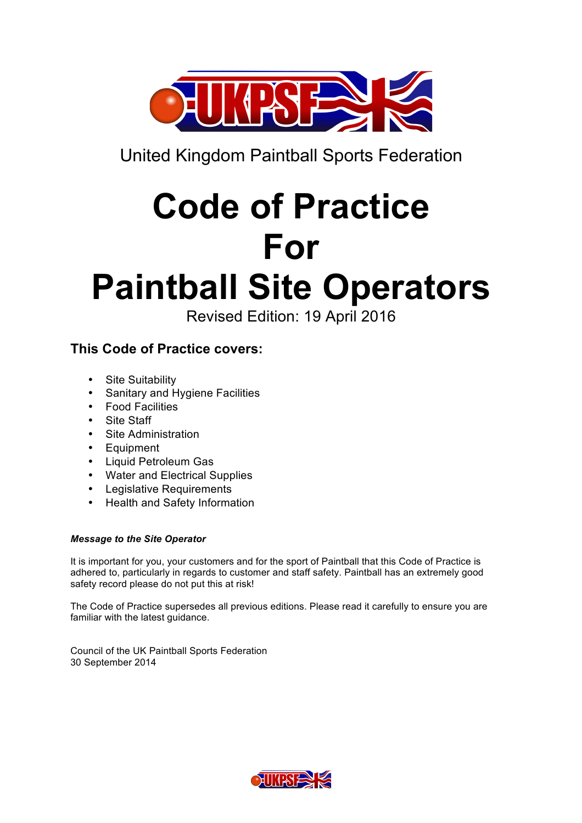

United Kingdom Paintball Sports Federation

# **Code of Practice For**

# **Paintball Site Operators**

Revised Edition: 19 April 2016

# **This Code of Practice covers:**

- Site Suitability
- Sanitary and Hygiene Facilities
- Food Facilities
- Site Staff
- Site Administration
- Equipment
- Liquid Petroleum Gas
- Water and Electrical Supplies
- Legislative Requirements
- Health and Safety Information

### *Message to the Site Operator*

It is important for you, your customers and for the sport of Paintball that this Code of Practice is adhered to, particularly in regards to customer and staff safety. Paintball has an extremely good safety record please do not put this at risk!

The Code of Practice supersedes all previous editions. Please read it carefully to ensure you are familiar with the latest guidance.

Council of the UK Paintball Sports Federation 30 September 2014

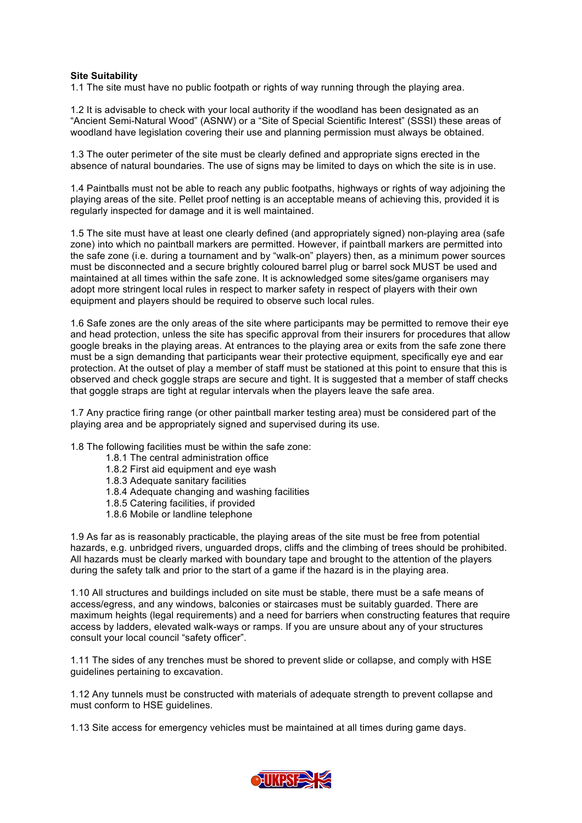#### **Site Suitability**

1.1 The site must have no public footpath or rights of way running through the playing area.

1.2 It is advisable to check with your local authority if the woodland has been designated as an "Ancient Semi-Natural Wood" (ASNW) or a "Site of Special Scientific Interest" (SSSI) these areas of woodland have legislation covering their use and planning permission must always be obtained.

1.3 The outer perimeter of the site must be clearly defined and appropriate signs erected in the absence of natural boundaries. The use of signs may be limited to days on which the site is in use.

1.4 Paintballs must not be able to reach any public footpaths, highways or rights of way adjoining the playing areas of the site. Pellet proof netting is an acceptable means of achieving this, provided it is regularly inspected for damage and it is well maintained.

1.5 The site must have at least one clearly defined (and appropriately signed) non-playing area (safe zone) into which no paintball markers are permitted. However, if paintball markers are permitted into the safe zone (i.e. during a tournament and by "walk-on" players) then, as a minimum power sources must be disconnected and a secure brightly coloured barrel plug or barrel sock MUST be used and maintained at all times within the safe zone. It is acknowledged some sites/game organisers may adopt more stringent local rules in respect to marker safety in respect of players with their own equipment and players should be required to observe such local rules.

1.6 Safe zones are the only areas of the site where participants may be permitted to remove their eye and head protection, unless the site has specific approval from their insurers for procedures that allow google breaks in the playing areas. At entrances to the playing area or exits from the safe zone there must be a sign demanding that participants wear their protective equipment, specifically eye and ear protection. At the outset of play a member of staff must be stationed at this point to ensure that this is observed and check goggle straps are secure and tight. It is suggested that a member of staff checks that goggle straps are tight at regular intervals when the players leave the safe area.

1.7 Any practice firing range (or other paintball marker testing area) must be considered part of the playing area and be appropriately signed and supervised during its use.

1.8 The following facilities must be within the safe zone:

- 1.8.1 The central administration office
- 1.8.2 First aid equipment and eye wash
- 1.8.3 Adequate sanitary facilities
- 1.8.4 Adequate changing and washing facilities
- 1.8.5 Catering facilities, if provided
- 1.8.6 Mobile or landline telephone

1.9 As far as is reasonably practicable, the playing areas of the site must be free from potential hazards, e.g. unbridged rivers, unguarded drops, cliffs and the climbing of trees should be prohibited. All hazards must be clearly marked with boundary tape and brought to the attention of the players during the safety talk and prior to the start of a game if the hazard is in the playing area.

1.10 All structures and buildings included on site must be stable, there must be a safe means of access/egress, and any windows, balconies or staircases must be suitably guarded. There are maximum heights (legal requirements) and a need for barriers when constructing features that require access by ladders, elevated walk-ways or ramps. If you are unsure about any of your structures consult your local council "safety officer".

1.11 The sides of any trenches must be shored to prevent slide or collapse, and comply with HSE guidelines pertaining to excavation.

1.12 Any tunnels must be constructed with materials of adequate strength to prevent collapse and must conform to HSE guidelines.

1.13 Site access for emergency vehicles must be maintained at all times during game days.

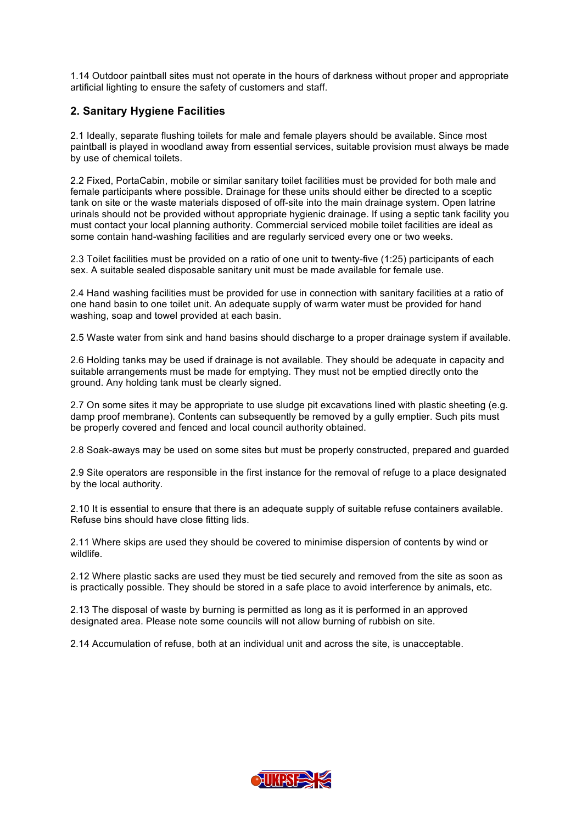1.14 Outdoor paintball sites must not operate in the hours of darkness without proper and appropriate artificial lighting to ensure the safety of customers and staff.

#### **2. Sanitary Hygiene Facilities**

2.1 Ideally, separate flushing toilets for male and female players should be available. Since most paintball is played in woodland away from essential services, suitable provision must always be made by use of chemical toilets.

2.2 Fixed, PortaCabin, mobile or similar sanitary toilet facilities must be provided for both male and female participants where possible. Drainage for these units should either be directed to a sceptic tank on site or the waste materials disposed of off-site into the main drainage system. Open latrine urinals should not be provided without appropriate hygienic drainage. If using a septic tank facility you must contact your local planning authority. Commercial serviced mobile toilet facilities are ideal as some contain hand-washing facilities and are regularly serviced every one or two weeks.

2.3 Toilet facilities must be provided on a ratio of one unit to twenty-five (1:25) participants of each sex. A suitable sealed disposable sanitary unit must be made available for female use.

2.4 Hand washing facilities must be provided for use in connection with sanitary facilities at a ratio of one hand basin to one toilet unit. An adequate supply of warm water must be provided for hand washing, soap and towel provided at each basin.

2.5 Waste water from sink and hand basins should discharge to a proper drainage system if available.

2.6 Holding tanks may be used if drainage is not available. They should be adequate in capacity and suitable arrangements must be made for emptying. They must not be emptied directly onto the ground. Any holding tank must be clearly signed.

2.7 On some sites it may be appropriate to use sludge pit excavations lined with plastic sheeting (e.g. damp proof membrane). Contents can subsequently be removed by a gully emptier. Such pits must be properly covered and fenced and local council authority obtained.

2.8 Soak-aways may be used on some sites but must be properly constructed, prepared and guarded

2.9 Site operators are responsible in the first instance for the removal of refuge to a place designated by the local authority.

2.10 It is essential to ensure that there is an adequate supply of suitable refuse containers available. Refuse bins should have close fitting lids.

2.11 Where skips are used they should be covered to minimise dispersion of contents by wind or wildlife.

2.12 Where plastic sacks are used they must be tied securely and removed from the site as soon as is practically possible. They should be stored in a safe place to avoid interference by animals, etc.

2.13 The disposal of waste by burning is permitted as long as it is performed in an approved designated area. Please note some councils will not allow burning of rubbish on site.

2.14 Accumulation of refuse, both at an individual unit and across the site, is unacceptable.

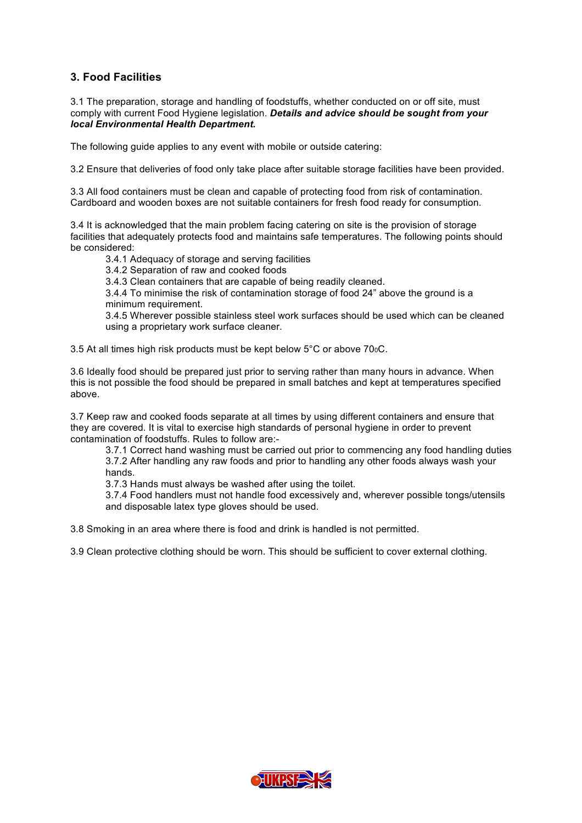#### **3. Food Facilities**

3.1 The preparation, storage and handling of foodstuffs, whether conducted on or off site, must comply with current Food Hygiene legislation. *Details and advice should be sought from your local Environmental Health Department.* 

The following guide applies to any event with mobile or outside catering:

3.2 Ensure that deliveries of food only take place after suitable storage facilities have been provided.

3.3 All food containers must be clean and capable of protecting food from risk of contamination. Cardboard and wooden boxes are not suitable containers for fresh food ready for consumption.

3.4 It is acknowledged that the main problem facing catering on site is the provision of storage facilities that adequately protects food and maintains safe temperatures. The following points should be considered:

3.4.1 Adequacy of storage and serving facilities

3.4.2 Separation of raw and cooked foods

3.4.3 Clean containers that are capable of being readily cleaned.

3.4.4 To minimise the risk of contamination storage of food 24" above the ground is a minimum requirement.

3.4.5 Wherever possible stainless steel work surfaces should be used which can be cleaned using a proprietary work surface cleaner.

3.5 At all times high risk products must be kept below 5°C or above 70<sub>0</sub>C.

3.6 Ideally food should be prepared just prior to serving rather than many hours in advance. When this is not possible the food should be prepared in small batches and kept at temperatures specified above.

3.7 Keep raw and cooked foods separate at all times by using different containers and ensure that they are covered. It is vital to exercise high standards of personal hygiene in order to prevent contamination of foodstuffs. Rules to follow are:-

3.7.1 Correct hand washing must be carried out prior to commencing any food handling duties 3.7.2 After handling any raw foods and prior to handling any other foods always wash your hands.

3.7.3 Hands must always be washed after using the toilet.

3.7.4 Food handlers must not handle food excessively and, wherever possible tongs/utensils and disposable latex type gloves should be used.

3.8 Smoking in an area where there is food and drink is handled is not permitted.

3.9 Clean protective clothing should be worn. This should be sufficient to cover external clothing.

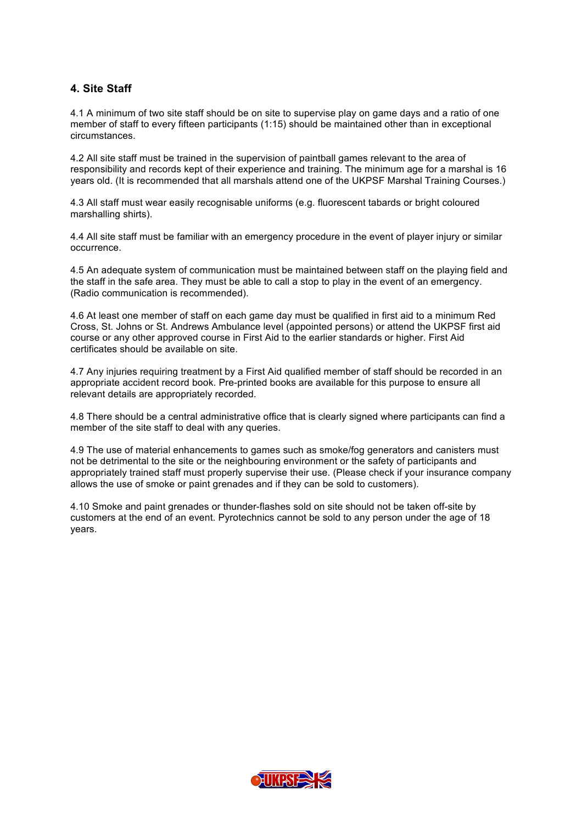#### **4. Site Staff**

4.1 A minimum of two site staff should be on site to supervise play on game days and a ratio of one member of staff to every fifteen participants (1:15) should be maintained other than in exceptional circumstances.

4.2 All site staff must be trained in the supervision of paintball games relevant to the area of responsibility and records kept of their experience and training. The minimum age for a marshal is 16 years old. (It is recommended that all marshals attend one of the UKPSF Marshal Training Courses.)

4.3 All staff must wear easily recognisable uniforms (e.g. fluorescent tabards or bright coloured marshalling shirts).

4.4 All site staff must be familiar with an emergency procedure in the event of player injury or similar occurrence.

4.5 An adequate system of communication must be maintained between staff on the playing field and the staff in the safe area. They must be able to call a stop to play in the event of an emergency. (Radio communication is recommended).

4.6 At least one member of staff on each game day must be qualified in first aid to a minimum Red Cross, St. Johns or St. Andrews Ambulance level (appointed persons) or attend the UKPSF first aid course or any other approved course in First Aid to the earlier standards or higher. First Aid certificates should be available on site.

4.7 Any injuries requiring treatment by a First Aid qualified member of staff should be recorded in an appropriate accident record book. Pre-printed books are available for this purpose to ensure all relevant details are appropriately recorded.

4.8 There should be a central administrative office that is clearly signed where participants can find a member of the site staff to deal with any queries.

4.9 The use of material enhancements to games such as smoke/fog generators and canisters must not be detrimental to the site or the neighbouring environment or the safety of participants and appropriately trained staff must properly supervise their use. (Please check if your insurance company allows the use of smoke or paint grenades and if they can be sold to customers).

4.10 Smoke and paint grenades or thunder-flashes sold on site should not be taken off-site by customers at the end of an event. Pyrotechnics cannot be sold to any person under the age of 18 years.

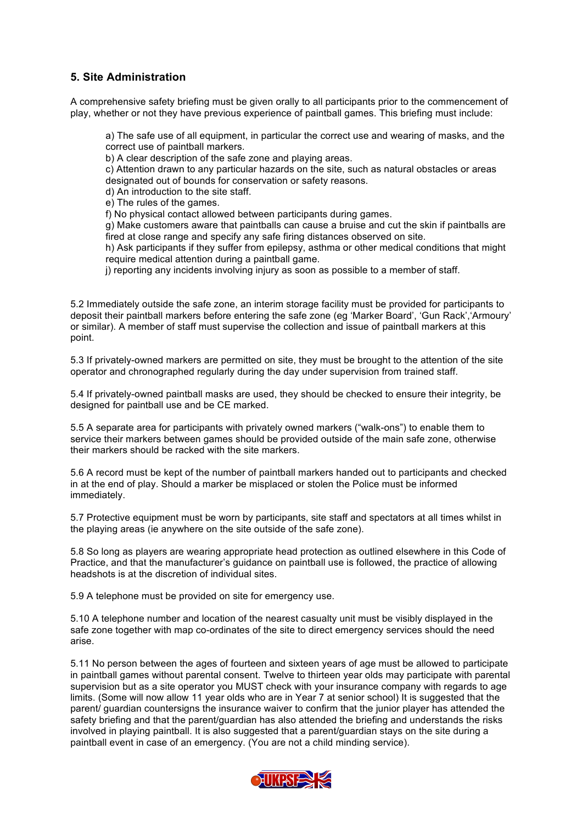#### **5. Site Administration**

A comprehensive safety briefing must be given orally to all participants prior to the commencement of play, whether or not they have previous experience of paintball games. This briefing must include:

a) The safe use of all equipment, in particular the correct use and wearing of masks, and the correct use of paintball markers.

b) A clear description of the safe zone and playing areas.

c) Attention drawn to any particular hazards on the site, such as natural obstacles or areas designated out of bounds for conservation or safety reasons.

d) An introduction to the site staff.

e) The rules of the games.

f) No physical contact allowed between participants during games.

g) Make customers aware that paintballs can cause a bruise and cut the skin if paintballs are fired at close range and specify any safe firing distances observed on site.

h) Ask participants if they suffer from epilepsy, asthma or other medical conditions that might require medical attention during a paintball game.

j) reporting any incidents involving injury as soon as possible to a member of staff.

5.2 Immediately outside the safe zone, an interim storage facility must be provided for participants to deposit their paintball markers before entering the safe zone (eg 'Marker Board', 'Gun Rack','Armoury' or similar). A member of staff must supervise the collection and issue of paintball markers at this point.

5.3 If privately-owned markers are permitted on site, they must be brought to the attention of the site operator and chronographed regularly during the day under supervision from trained staff.

5.4 If privately-owned paintball masks are used, they should be checked to ensure their integrity, be designed for paintball use and be CE marked.

5.5 A separate area for participants with privately owned markers ("walk-ons") to enable them to service their markers between games should be provided outside of the main safe zone, otherwise their markers should be racked with the site markers.

5.6 A record must be kept of the number of paintball markers handed out to participants and checked in at the end of play. Should a marker be misplaced or stolen the Police must be informed immediately.

5.7 Protective equipment must be worn by participants, site staff and spectators at all times whilst in the playing areas (ie anywhere on the site outside of the safe zone).

5.8 So long as players are wearing appropriate head protection as outlined elsewhere in this Code of Practice, and that the manufacturer's guidance on paintball use is followed, the practice of allowing headshots is at the discretion of individual sites.

5.9 A telephone must be provided on site for emergency use.

5.10 A telephone number and location of the nearest casualty unit must be visibly displayed in the safe zone together with map co-ordinates of the site to direct emergency services should the need arise.

5.11 No person between the ages of fourteen and sixteen years of age must be allowed to participate in paintball games without parental consent. Twelve to thirteen year olds may participate with parental supervision but as a site operator you MUST check with your insurance company with regards to age limits. (Some will now allow 11 year olds who are in Year 7 at senior school) It is suggested that the parent/ guardian countersigns the insurance waiver to confirm that the junior player has attended the safety briefing and that the parent/guardian has also attended the briefing and understands the risks involved in playing paintball. It is also suggested that a parent/guardian stays on the site during a paintball event in case of an emergency. (You are not a child minding service).

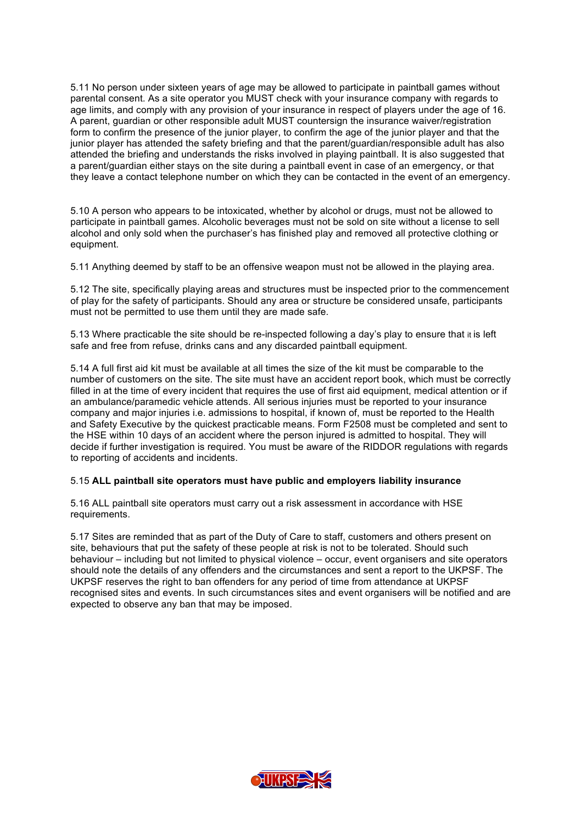5.11 No person under sixteen years of age may be allowed to participate in paintball games without parental consent. As a site operator you MUST check with your insurance company with regards to age limits, and comply with any provision of your insurance in respect of players under the age of 16. A parent, guardian or other responsible adult MUST countersign the insurance waiver/registration form to confirm the presence of the junior player, to confirm the age of the junior player and that the junior player has attended the safety briefing and that the parent/guardian/responsible adult has also attended the briefing and understands the risks involved in playing paintball. It is also suggested that a parent/guardian either stays on the site during a paintball event in case of an emergency, or that they leave a contact telephone number on which they can be contacted in the event of an emergency.

5.10 A person who appears to be intoxicated, whether by alcohol or drugs, must not be allowed to participate in paintball games. Alcoholic beverages must not be sold on site without a license to sell alcohol and only sold when the purchaser's has finished play and removed all protective clothing or equipment.

5.11 Anything deemed by staff to be an offensive weapon must not be allowed in the playing area.

5.12 The site, specifically playing areas and structures must be inspected prior to the commencement of play for the safety of participants. Should any area or structure be considered unsafe, participants must not be permitted to use them until they are made safe.

5.13 Where practicable the site should be re-inspected following a day's play to ensure that it is left safe and free from refuse, drinks cans and any discarded paintball equipment.

5.14 A full first aid kit must be available at all times the size of the kit must be comparable to the number of customers on the site. The site must have an accident report book, which must be correctly filled in at the time of every incident that requires the use of first aid equipment, medical attention or if an ambulance/paramedic vehicle attends. All serious injuries must be reported to your insurance company and major injuries i.e. admissions to hospital, if known of, must be reported to the Health and Safety Executive by the quickest practicable means. Form F2508 must be completed and sent to the HSE within 10 days of an accident where the person injured is admitted to hospital. They will decide if further investigation is required. You must be aware of the RIDDOR regulations with regards to reporting of accidents and incidents.

#### 5.15 **ALL paintball site operators must have public and employers liability insurance**

5.16 ALL paintball site operators must carry out a risk assessment in accordance with HSE requirements.

5.17 Sites are reminded that as part of the Duty of Care to staff, customers and others present on site, behaviours that put the safety of these people at risk is not to be tolerated. Should such behaviour – including but not limited to physical violence – occur, event organisers and site operators should note the details of any offenders and the circumstances and sent a report to the UKPSF. The UKPSF reserves the right to ban offenders for any period of time from attendance at UKPSF recognised sites and events. In such circumstances sites and event organisers will be notified and are expected to observe any ban that may be imposed.

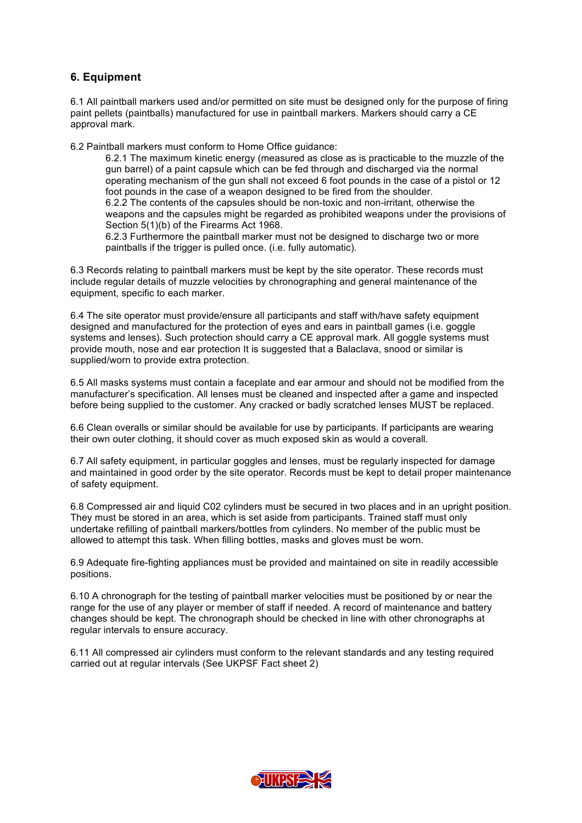#### **6. Equipment**

6.1 All paintball markers used and/or permitted on site must be designed only for the purpose of firing paint pellets (paintballs) manufactured for use in paintball markers. Markers should carry a CE approval mark.

6.2 Paintball markers must conform to Home Office guidance:

6.2.1 The maximum kinetic energy (measured as close as is practicable to the muzzle of the gun barrel) of a paint capsule which can be fed through and discharged via the normal operating mechanism of the gun shall not exceed 6 foot pounds in the case of a pistol or 12 foot pounds in the case of a weapon designed to be fired from the shoulder. 6.2.2 The contents of the capsules should be non-toxic and non-irritant, otherwise the weapons and the capsules might be regarded as prohibited weapons under the provisions of Section 5(1)(b) of the Firearms Act 1968. 6.2.3 Furthermore the paintball marker must not be designed to discharge two or more

paintballs if the trigger is pulled once. (i.e. fully automatic).

6.3 Records relating to paintball markers must be kept by the site operator. These records must include regular details of muzzle velocities by chronographing and general maintenance of the equipment, specific to each marker.

6.4 The site operator must provide/ensure all participants and staff with/have safety equipment designed and manufactured for the protection of eyes and ears in paintball games (i.e. goggle systems and lenses). Such protection should carry a CE approval mark. All goggle systems must provide mouth, nose and ear protection It is suggested that a Balaclava, snood or similar is supplied/worn to provide extra protection.

6.5 All masks systems must contain a faceplate and ear armour and should not be modified from the manufacturer's specification. All lenses must be cleaned and inspected after a game and inspected before being supplied to the customer. Any cracked or badly scratched lenses MUST be replaced.

6.6 Clean overalls or similar should be available for use by participants. If participants are wearing their own outer clothing, it should cover as much exposed skin as would a coverall.

6.7 All safety equipment, in particular goggles and lenses, must be regularly inspected for damage and maintained in good order by the site operator. Records must be kept to detail proper maintenance of safety equipment.

6.8 Compressed air and liquid C02 cylinders must be secured in two places and in an upright position. They must be stored in an area, which is set aside from participants. Trained staff must only undertake refilling of paintball markers/bottles from cylinders. No member of the public must be allowed to attempt this task. When filling bottles, masks and gloves must be worn.

6.9 Adequate fire-fighting appliances must be provided and maintained on site in readily accessible positions.

6.10 A chronograph for the testing of paintball marker velocities must be positioned by or near the range for the use of any player or member of staff if needed. A record of maintenance and battery changes should be kept. The chronograph should be checked in line with other chronographs at regular intervals to ensure accuracy.

6.11 All compressed air cylinders must conform to the relevant standards and any testing required carried out at regular intervals (See UKPSF Fact sheet 2)

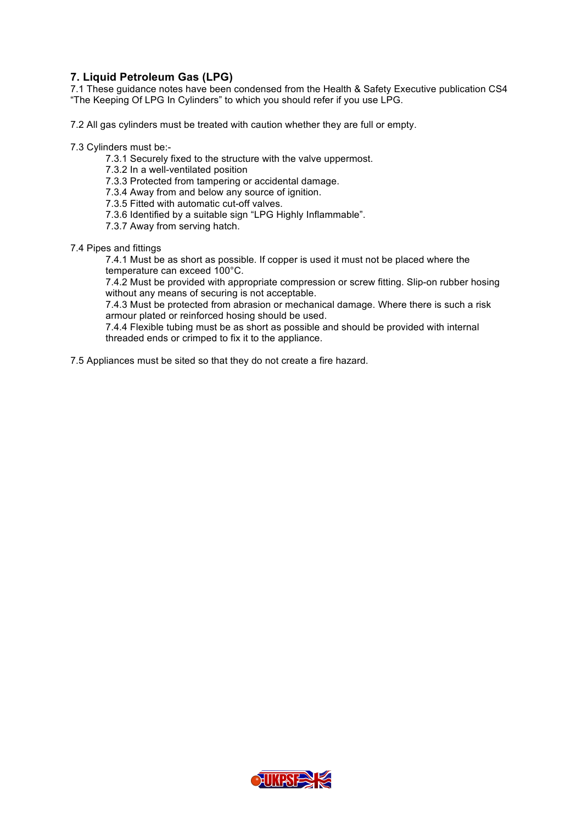#### **7. Liquid Petroleum Gas (LPG)**

7.1 These guidance notes have been condensed from the Health & Safety Executive publication CS4 "The Keeping Of LPG In Cylinders" to which you should refer if you use LPG.

7.2 All gas cylinders must be treated with caution whether they are full or empty.

7.3 Cylinders must be:-

- 7.3.1 Securely fixed to the structure with the valve uppermost.
- 7.3.2 In a well-ventilated position
- 7.3.3 Protected from tampering or accidental damage.
- 7.3.4 Away from and below any source of ignition.
- 7.3.5 Fitted with automatic cut-off valves.
- 7.3.6 Identified by a suitable sign "LPG Highly Inflammable".
- 7.3.7 Away from serving hatch.
- 7.4 Pipes and fittings

7.4.1 Must be as short as possible. If copper is used it must not be placed where the temperature can exceed 100°C.

7.4.2 Must be provided with appropriate compression or screw fitting. Slip-on rubber hosing without any means of securing is not acceptable.

7.4.3 Must be protected from abrasion or mechanical damage. Where there is such a risk armour plated or reinforced hosing should be used.

7.4.4 Flexible tubing must be as short as possible and should be provided with internal threaded ends or crimped to fix it to the appliance.

7.5 Appliances must be sited so that they do not create a fire hazard.

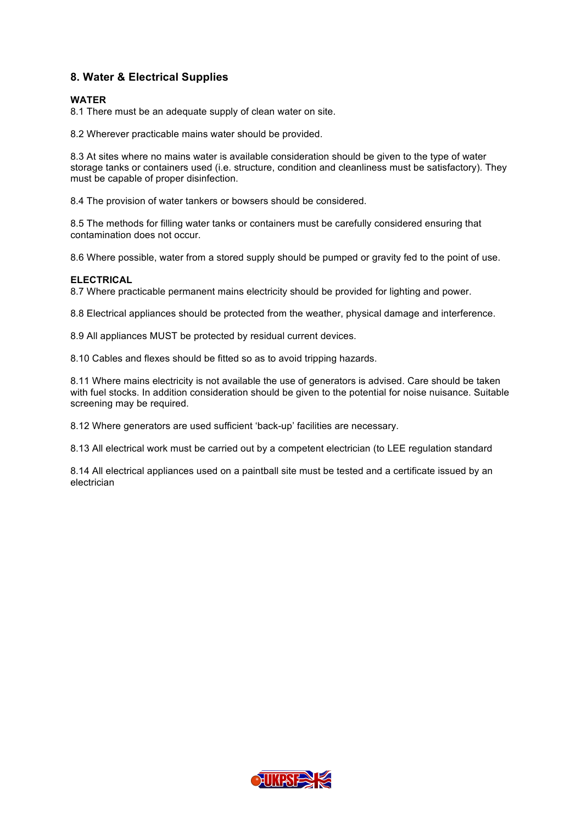#### **8. Water & Electrical Supplies**

#### **WATER**

8.1 There must be an adequate supply of clean water on site.

8.2 Wherever practicable mains water should be provided.

8.3 At sites where no mains water is available consideration should be given to the type of water storage tanks or containers used (i.e. structure, condition and cleanliness must be satisfactory). They must be capable of proper disinfection.

8.4 The provision of water tankers or bowsers should be considered.

8.5 The methods for filling water tanks or containers must be carefully considered ensuring that contamination does not occur.

8.6 Where possible, water from a stored supply should be pumped or gravity fed to the point of use.

#### **ELECTRICAL**

8.7 Where practicable permanent mains electricity should be provided for lighting and power.

8.8 Electrical appliances should be protected from the weather, physical damage and interference.

8.9 All appliances MUST be protected by residual current devices.

8.10 Cables and flexes should be fitted so as to avoid tripping hazards.

8.11 Where mains electricity is not available the use of generators is advised. Care should be taken with fuel stocks. In addition consideration should be given to the potential for noise nuisance. Suitable screening may be required.

8.12 Where generators are used sufficient 'back-up' facilities are necessary.

8.13 All electrical work must be carried out by a competent electrician (to LEE regulation standard

8.14 All electrical appliances used on a paintball site must be tested and a certificate issued by an electrician

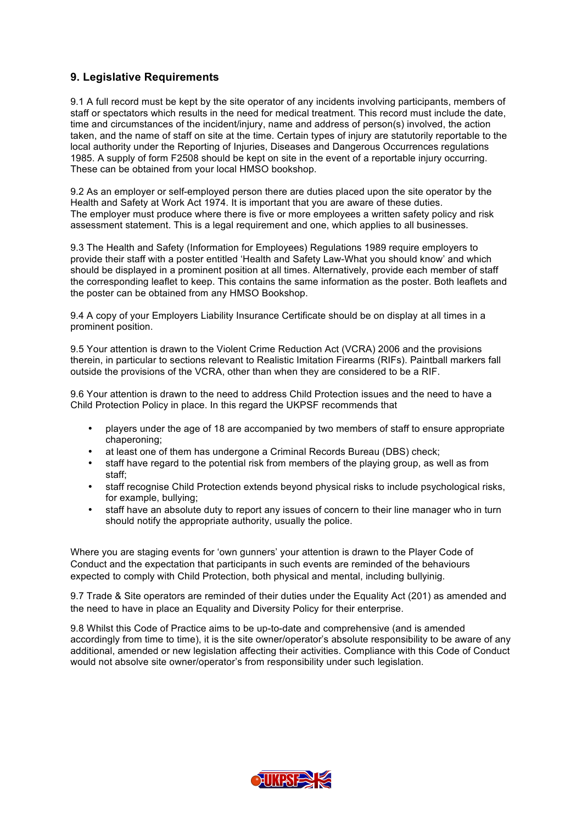#### **9. Legislative Requirements**

9.1 A full record must be kept by the site operator of any incidents involving participants, members of staff or spectators which results in the need for medical treatment. This record must include the date, time and circumstances of the incident/injury, name and address of person(s) involved, the action taken, and the name of staff on site at the time. Certain types of injury are statutorily reportable to the local authority under the Reporting of Injuries, Diseases and Dangerous Occurrences regulations 1985. A supply of form F2508 should be kept on site in the event of a reportable injury occurring. These can be obtained from your local HMSO bookshop.

9.2 As an employer or self-employed person there are duties placed upon the site operator by the Health and Safety at Work Act 1974. It is important that you are aware of these duties. The employer must produce where there is five or more employees a written safety policy and risk assessment statement. This is a legal requirement and one, which applies to all businesses.

9.3 The Health and Safety (Information for Employees) Regulations 1989 require employers to provide their staff with a poster entitled 'Health and Safety Law-What you should know' and which should be displayed in a prominent position at all times. Alternatively, provide each member of staff the corresponding leaflet to keep. This contains the same information as the poster. Both leaflets and the poster can be obtained from any HMSO Bookshop.

9.4 A copy of your Employers Liability Insurance Certificate should be on display at all times in a prominent position.

9.5 Your attention is drawn to the Violent Crime Reduction Act (VCRA) 2006 and the provisions therein, in particular to sections relevant to Realistic Imitation Firearms (RIFs). Paintball markers fall outside the provisions of the VCRA, other than when they are considered to be a RIF.

9.6 Your attention is drawn to the need to address Child Protection issues and the need to have a Child Protection Policy in place. In this regard the UKPSF recommends that

- players under the age of 18 are accompanied by two members of staff to ensure appropriate chaperoning;
- at least one of them has undergone a Criminal Records Bureau (DBS) check;
- staff have regard to the potential risk from members of the playing group, as well as from staff;
- staff recognise Child Protection extends beyond physical risks to include psychological risks, for example, bullying;
- staff have an absolute duty to report any issues of concern to their line manager who in turn should notify the appropriate authority, usually the police.

Where you are staging events for 'own gunners' your attention is drawn to the Player Code of Conduct and the expectation that participants in such events are reminded of the behaviours expected to comply with Child Protection, both physical and mental, including bullyinig.

9.7 Trade & Site operators are reminded of their duties under the Equality Act (201) as amended and the need to have in place an Equality and Diversity Policy for their enterprise.

9.8 Whilst this Code of Practice aims to be up-to-date and comprehensive (and is amended accordingly from time to time), it is the site owner/operator's absolute responsibility to be aware of any additional, amended or new legislation affecting their activities. Compliance with this Code of Conduct would not absolve site owner/operator's from responsibility under such legislation.